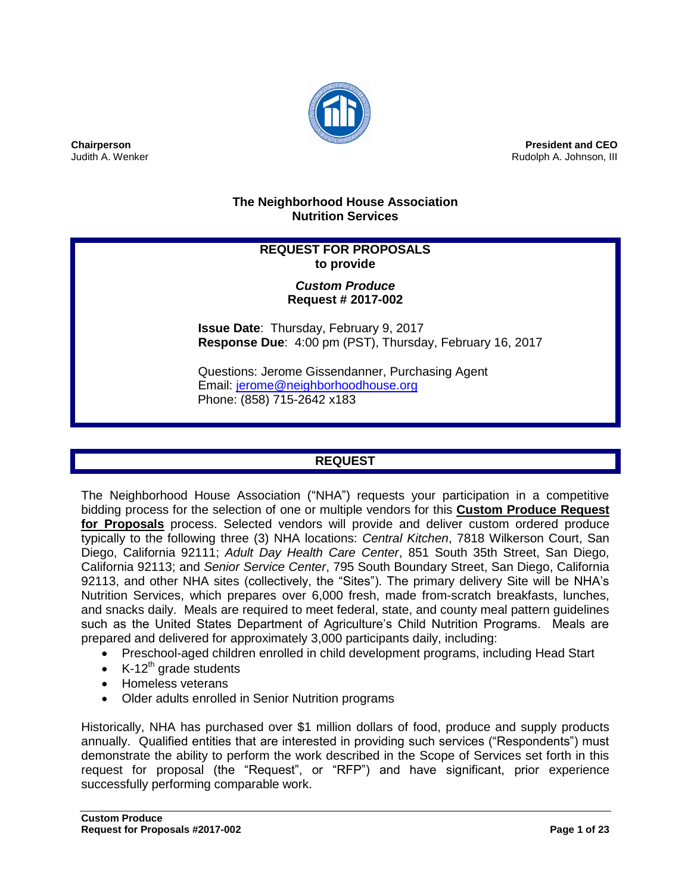

**Chairperson** Judith A. Wenker

**President and CEO** Rudolph A. Johnson, III

## **The Neighborhood House Association Nutrition Services**

## **REQUEST FOR PROPOSALS to provide**

## *Custom Produce* **Request # 2017-002**

**Issue Date**: Thursday, February 9, 2017 **Response Due**: 4:00 pm (PST), Thursday, February 16, 2017

Questions: Jerome Gissendanner, Purchasing Agent Email: [jerome@neighborhoodhouse.org](mailto:jerome@neighborhoodhouse.org) Phone: (858) 715-2642 x183

# **REQUEST**

The Neighborhood House Association ("NHA") requests your participation in a competitive bidding process for the selection of one or multiple vendors for this **Custom Produce Request for Proposals** process. Selected vendors will provide and deliver custom ordered produce typically to the following three (3) NHA locations: *Central Kitchen*, 7818 Wilkerson Court, San Diego, California 92111; *Adult Day Health Care Center*, 851 South 35th Street, San Diego, California 92113; and *Senior Service Center*, 795 South Boundary Street, San Diego, California 92113, and other NHA sites (collectively, the "Sites"). The primary delivery Site will be NHA's Nutrition Services, which prepares over 6,000 fresh, made from-scratch breakfasts, lunches, and snacks daily. Meals are required to meet federal, state, and county meal pattern guidelines such as the United States Department of Agriculture's Child Nutrition Programs. Meals are prepared and delivered for approximately 3,000 participants daily, including:

- Preschool-aged children enrolled in child development programs, including Head Start
- K-12<sup>th</sup> grade students
- Homeless veterans
- Older adults enrolled in Senior Nutrition programs

Historically, NHA has purchased over \$1 million dollars of food, produce and supply products annually. Qualified entities that are interested in providing such services ("Respondents") must demonstrate the ability to perform the work described in the Scope of Services set forth in this request for proposal (the "Request", or "RFP") and have significant, prior experience successfully performing comparable work.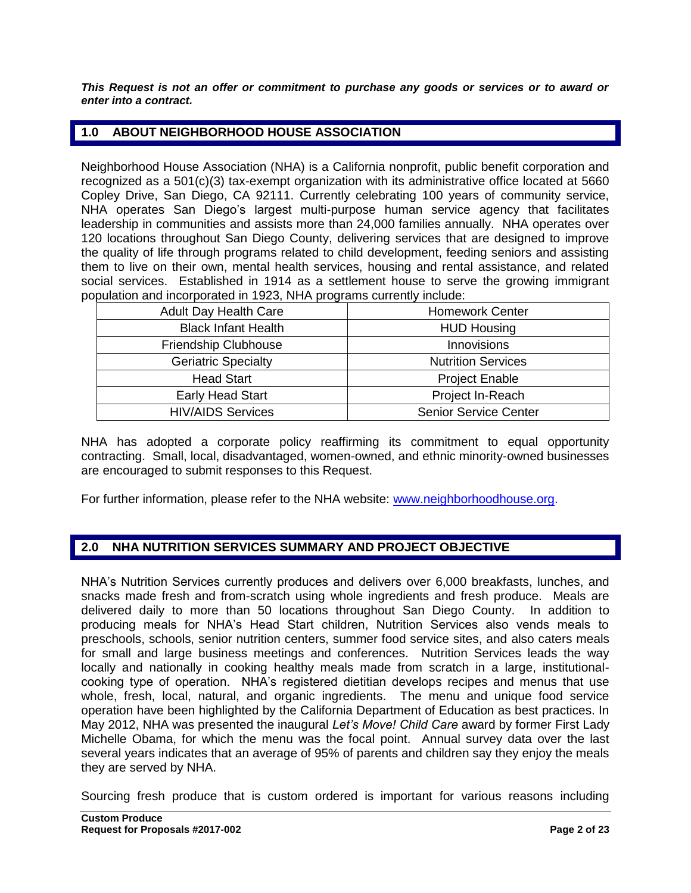*This Request is not an offer or commitment to purchase any goods or services or to award or enter into a contract.*

## **1.0 ABOUT NEIGHBORHOOD HOUSE ASSOCIATION**

Neighborhood House Association (NHA) is a California nonprofit, public benefit corporation and recognized as a 501(c)(3) tax-exempt organization with its administrative office located at 5660 Copley Drive, San Diego, CA 92111. Currently celebrating 100 years of community service, NHA operates San Diego's largest multi-purpose human service agency that facilitates leadership in communities and assists more than 24,000 families annually. NHA operates over 120 locations throughout San Diego County, delivering services that are designed to improve the quality of life through programs related to child development, feeding seniors and assisting them to live on their own, mental health services, housing and rental assistance, and related social services. Established in 1914 as a settlement house to serve the growing immigrant population and incorporated in 1923, NHA programs currently include:

| <b>Adult Day Health Care</b> | <b>Homework Center</b>       |  |
|------------------------------|------------------------------|--|
| <b>Black Infant Health</b>   | <b>HUD Housing</b>           |  |
| Friendship Clubhouse         | Innovisions                  |  |
| <b>Geriatric Specialty</b>   | <b>Nutrition Services</b>    |  |
| <b>Head Start</b>            | <b>Project Enable</b>        |  |
| <b>Early Head Start</b>      | Project In-Reach             |  |
| <b>HIV/AIDS Services</b>     | <b>Senior Service Center</b> |  |

NHA has adopted a corporate policy reaffirming its commitment to equal opportunity contracting. Small, local, disadvantaged, women-owned, and ethnic minority-owned businesses are encouraged to submit responses to this Request.

For further information, please refer to the NHA website: [www.neighborhoodhouse.org.](http://www.neighborhoodhouse.org/)

## **2.0 NHA NUTRITION SERVICES SUMMARY AND PROJECT OBJECTIVE**

NHA's Nutrition Services currently produces and delivers over 6,000 breakfasts, lunches, and snacks made fresh and from-scratch using whole ingredients and fresh produce. Meals are delivered daily to more than 50 locations throughout San Diego County. In addition to producing meals for NHA's Head Start children, Nutrition Services also vends meals to preschools, schools, senior nutrition centers, summer food service sites, and also caters meals for small and large business meetings and conferences. Nutrition Services leads the way locally and nationally in cooking healthy meals made from scratch in a large, institutionalcooking type of operation. NHA's registered dietitian develops recipes and menus that use whole, fresh, local, natural, and organic ingredients. The menu and unique food service operation have been highlighted by the California Department of Education as best practices. In May 2012, NHA was presented the inaugural *Let's Move! Child Care* award by former First Lady Michelle Obama, for which the menu was the focal point. Annual survey data over the last several years indicates that an average of 95% of parents and children say they enjoy the meals they are served by NHA.

Sourcing fresh produce that is custom ordered is important for various reasons including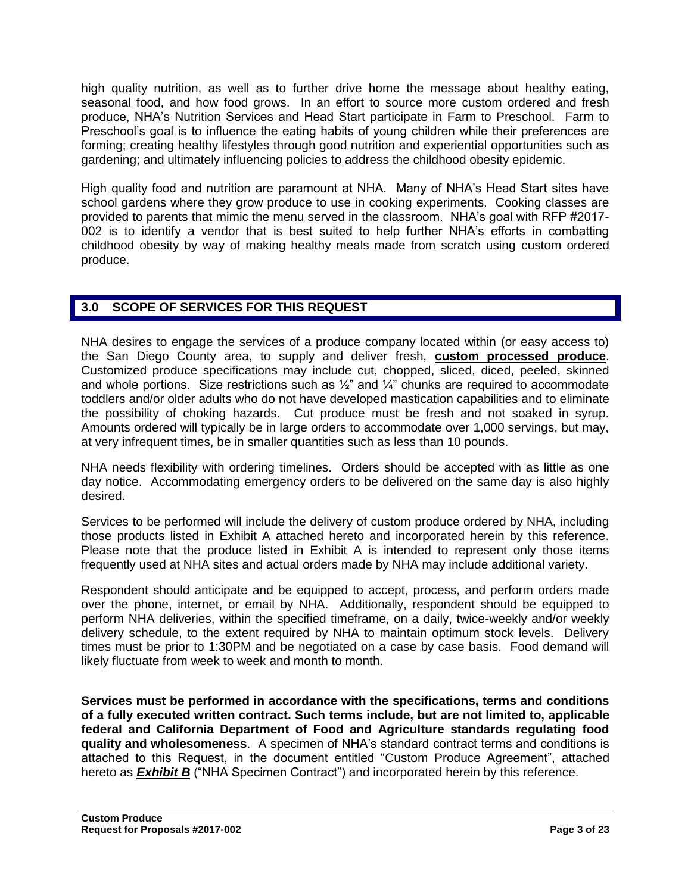high quality nutrition, as well as to further drive home the message about healthy eating, seasonal food, and how food grows. In an effort to source more custom ordered and fresh produce, NHA's Nutrition Services and Head Start participate in Farm to Preschool. Farm to Preschool's goal is to influence the eating habits of young children while their preferences are forming; creating healthy lifestyles through good nutrition and experiential opportunities such as gardening; and ultimately influencing policies to address the childhood obesity epidemic.

High quality food and nutrition are paramount at NHA. Many of NHA's Head Start sites have school gardens where they grow produce to use in cooking experiments. Cooking classes are provided to parents that mimic the menu served in the classroom. NHA's goal with RFP #2017- 002 is to identify a vendor that is best suited to help further NHA's efforts in combatting childhood obesity by way of making healthy meals made from scratch using custom ordered produce.

## **3.0 SCOPE OF SERVICES FOR THIS REQUEST**

NHA desires to engage the services of a produce company located within (or easy access to) the San Diego County area, to supply and deliver fresh, **custom processed produce**. Customized produce specifications may include cut, chopped, sliced, diced, peeled, skinned and whole portions. Size restrictions such as  $\frac{1}{2}$ " and  $\frac{1}{4}$ " chunks are required to accommodate toddlers and/or older adults who do not have developed mastication capabilities and to eliminate the possibility of choking hazards. Cut produce must be fresh and not soaked in syrup. Amounts ordered will typically be in large orders to accommodate over 1,000 servings, but may, at very infrequent times, be in smaller quantities such as less than 10 pounds.

NHA needs flexibility with ordering timelines. Orders should be accepted with as little as one day notice. Accommodating emergency orders to be delivered on the same day is also highly desired.

Services to be performed will include the delivery of custom produce ordered by NHA, including those products listed in Exhibit A attached hereto and incorporated herein by this reference. Please note that the produce listed in Exhibit A is intended to represent only those items frequently used at NHA sites and actual orders made by NHA may include additional variety.

Respondent should anticipate and be equipped to accept, process, and perform orders made over the phone, internet, or email by NHA. Additionally, respondent should be equipped to perform NHA deliveries, within the specified timeframe, on a daily, twice-weekly and/or weekly delivery schedule, to the extent required by NHA to maintain optimum stock levels. Delivery times must be prior to 1:30PM and be negotiated on a case by case basis. Food demand will likely fluctuate from week to week and month to month.

**Services must be performed in accordance with the specifications, terms and conditions of a fully executed written contract. Such terms include, but are not limited to, applicable federal and California Department of Food and Agriculture standards regulating food quality and wholesomeness**. A specimen of NHA's standard contract terms and conditions is attached to this Request, in the document entitled "Custom Produce Agreement", attached hereto as **Exhibit B** ("NHA Specimen Contract") and incorporated herein by this reference.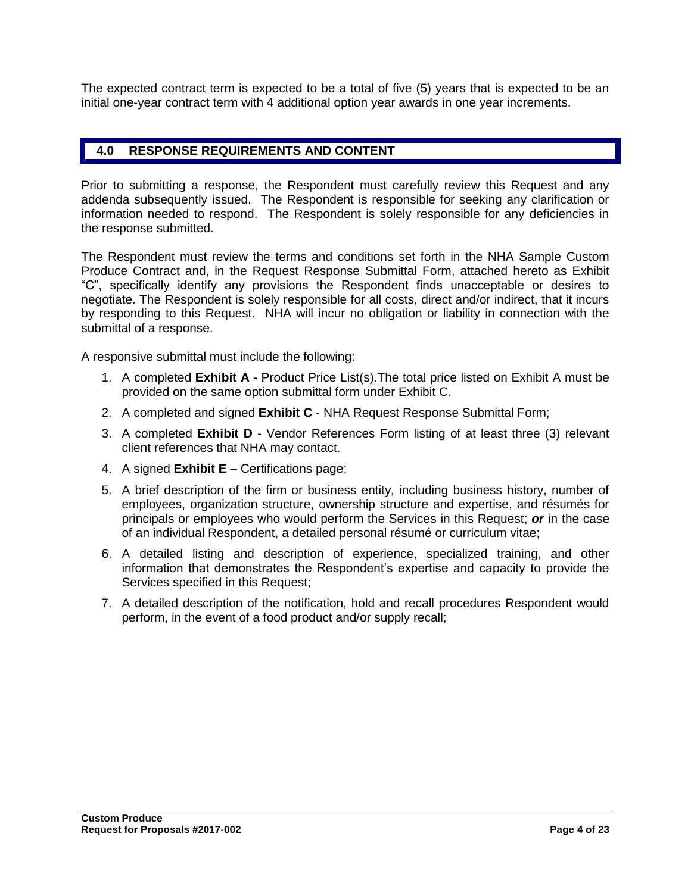The expected contract term is expected to be a total of five (5) years that is expected to be an initial one-year contract term with 4 additional option year awards in one year increments.

## **4.0 RESPONSE REQUIREMENTS AND CONTENT**

Prior to submitting a response, the Respondent must carefully review this Request and any addenda subsequently issued. The Respondent is responsible for seeking any clarification or information needed to respond. The Respondent is solely responsible for any deficiencies in the response submitted.

The Respondent must review the terms and conditions set forth in the NHA Sample Custom Produce Contract and, in the Request Response Submittal Form, attached hereto as Exhibit "C", specifically identify any provisions the Respondent finds unacceptable or desires to negotiate. The Respondent is solely responsible for all costs, direct and/or indirect, that it incurs by responding to this Request. NHA will incur no obligation or liability in connection with the submittal of a response.

A responsive submittal must include the following:

- 1. A completed **Exhibit A -** Product Price List(s).The total price listed on Exhibit A must be provided on the same option submittal form under Exhibit C.
- 2. A completed and signed **Exhibit C** NHA Request Response Submittal Form;
- 3. A completed **Exhibit D** Vendor References Form listing of at least three (3) relevant client references that NHA may contact.
- 4. A signed **Exhibit E** Certifications page;
- 5. A brief description of the firm or business entity, including business history, number of employees, organization structure, ownership structure and expertise, and résumés for principals or employees who would perform the Services in this Request; *or* in the case of an individual Respondent, a detailed personal résumé or curriculum vitae;
- 6. A detailed listing and description of experience, specialized training, and other information that demonstrates the Respondent's expertise and capacity to provide the Services specified in this Request;
- 7. A detailed description of the notification, hold and recall procedures Respondent would perform, in the event of a food product and/or supply recall;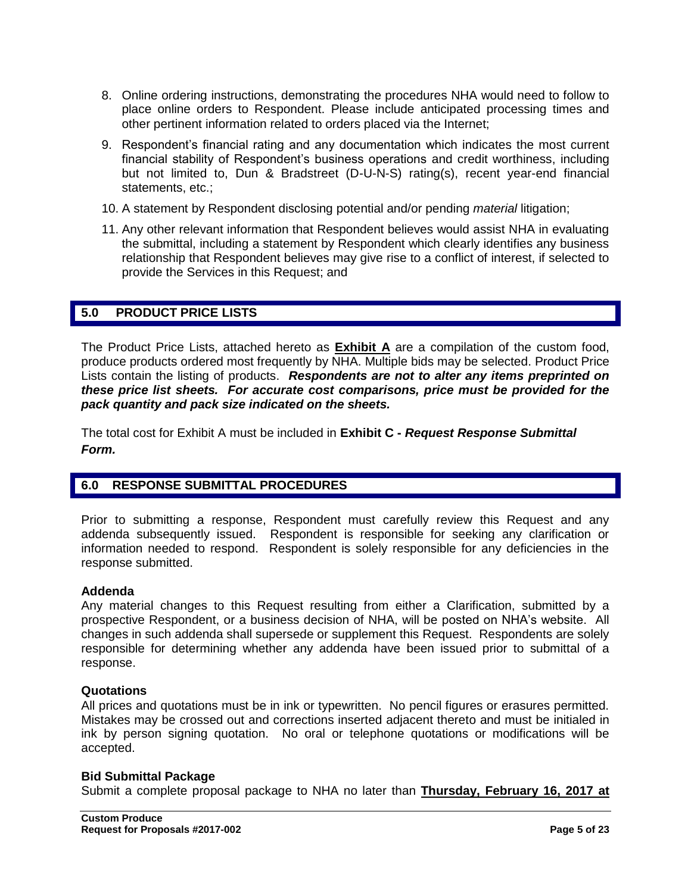- 8. Online ordering instructions, demonstrating the procedures NHA would need to follow to place online orders to Respondent. Please include anticipated processing times and other pertinent information related to orders placed via the Internet;
- 9. Respondent's financial rating and any documentation which indicates the most current financial stability of Respondent's business operations and credit worthiness, including but not limited to, Dun & Bradstreet (D-U-N-S) rating(s), recent year-end financial statements, etc.;
- 10. A statement by Respondent disclosing potential and/or pending *material* litigation;
- 11. Any other relevant information that Respondent believes would assist NHA in evaluating the submittal, including a statement by Respondent which clearly identifies any business relationship that Respondent believes may give rise to a conflict of interest, if selected to provide the Services in this Request; and

## **5.0 PRODUCT PRICE LISTS**

The Product Price Lists, attached hereto as **Exhibit A** are a compilation of the custom food, produce products ordered most frequently by NHA. Multiple bids may be selected. Product Price Lists contain the listing of products. *Respondents are not to alter any items preprinted on these price list sheets. For accurate cost comparisons, price must be provided for the pack quantity and pack size indicated on the sheets.*

The total cost for Exhibit A must be included in **Exhibit C -** *Request Response Submittal Form.*

## **6.0 RESPONSE SUBMITTAL PROCEDURES**

Prior to submitting a response, Respondent must carefully review this Request and any addenda subsequently issued. Respondent is responsible for seeking any clarification or information needed to respond. Respondent is solely responsible for any deficiencies in the response submitted.

#### **Addenda**

Any material changes to this Request resulting from either a Clarification, submitted by a prospective Respondent, or a business decision of NHA, will be posted on NHA's website. All changes in such addenda shall supersede or supplement this Request. Respondents are solely responsible for determining whether any addenda have been issued prior to submittal of a response.

#### **Quotations**

All prices and quotations must be in ink or typewritten. No pencil figures or erasures permitted. Mistakes may be crossed out and corrections inserted adjacent thereto and must be initialed in ink by person signing quotation. No oral or telephone quotations or modifications will be accepted.

#### **Bid Submittal Package**

Submit a complete proposal package to NHA no later than **Thursday, February 16, 2017 at**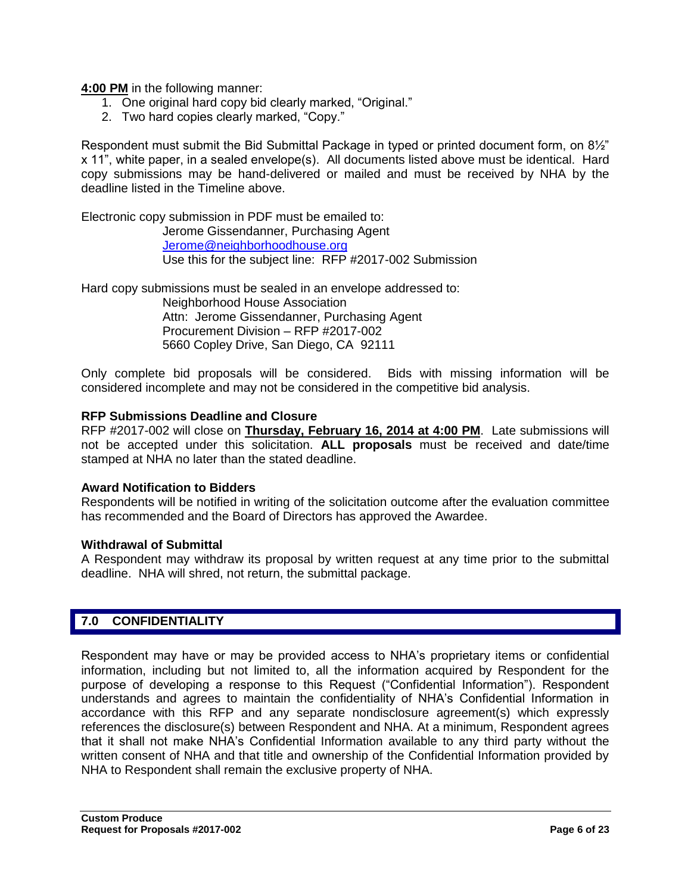**4:00 PM** in the following manner:

- 1. One original hard copy bid clearly marked, "Original."
- 2. Two hard copies clearly marked, "Copy."

Respondent must submit the Bid Submittal Package in typed or printed document form, on 8½" x 11", white paper, in a sealed envelope(s). All documents listed above must be identical. Hard copy submissions may be hand-delivered or mailed and must be received by NHA by the deadline listed in the Timeline above.

Electronic copy submission in PDF must be emailed to:

Jerome Gissendanner, Purchasing Agent [Jerome@neighborhoodhouse.org](mailto:Jerome@neighborhoodhouse.org) Use this for the subject line: RFP #2017-002 Submission

Hard copy submissions must be sealed in an envelope addressed to:

Neighborhood House Association Attn: Jerome Gissendanner, Purchasing Agent Procurement Division – RFP #2017-002 5660 Copley Drive, San Diego, CA 92111

Only complete bid proposals will be considered. Bids with missing information will be considered incomplete and may not be considered in the competitive bid analysis.

## **RFP Submissions Deadline and Closure**

RFP #2017-002 will close on **Thursday, February 16, 2014 at 4:00 PM**. Late submissions will not be accepted under this solicitation. **ALL proposals** must be received and date/time stamped at NHA no later than the stated deadline.

#### **Award Notification to Bidders**

Respondents will be notified in writing of the solicitation outcome after the evaluation committee has recommended and the Board of Directors has approved the Awardee.

#### **Withdrawal of Submittal**

A Respondent may withdraw its proposal by written request at any time prior to the submittal deadline. NHA will shred, not return, the submittal package.

## **7.0 CONFIDENTIALITY**

Respondent may have or may be provided access to NHA's proprietary items or confidential information, including but not limited to, all the information acquired by Respondent for the purpose of developing a response to this Request ("Confidential Information"). Respondent understands and agrees to maintain the confidentiality of NHA's Confidential Information in accordance with this RFP and any separate nondisclosure agreement(s) which expressly references the disclosure(s) between Respondent and NHA. At a minimum, Respondent agrees that it shall not make NHA's Confidential Information available to any third party without the written consent of NHA and that title and ownership of the Confidential Information provided by NHA to Respondent shall remain the exclusive property of NHA.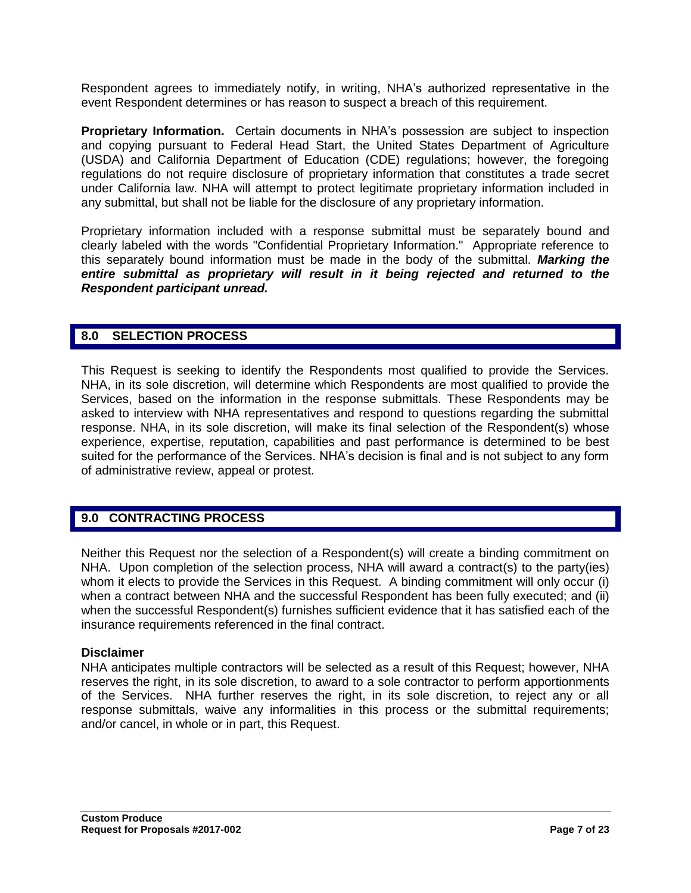Respondent agrees to immediately notify, in writing, NHA's authorized representative in the event Respondent determines or has reason to suspect a breach of this requirement.

**Proprietary Information.** Certain documents in NHA's possession are subject to inspection and copying pursuant to Federal Head Start, the United States Department of Agriculture (USDA) and California Department of Education (CDE) regulations; however, the foregoing regulations do not require disclosure of proprietary information that constitutes a trade secret under California law. NHA will attempt to protect legitimate proprietary information included in any submittal, but shall not be liable for the disclosure of any proprietary information.

Proprietary information included with a response submittal must be separately bound and clearly labeled with the words "Confidential Proprietary Information." Appropriate reference to this separately bound information must be made in the body of the submittal. *Marking the entire submittal as proprietary will result in it being rejected and returned to the Respondent participant unread.*

## **8.0 SELECTION PROCESS**

This Request is seeking to identify the Respondents most qualified to provide the Services. NHA, in its sole discretion, will determine which Respondents are most qualified to provide the Services, based on the information in the response submittals. These Respondents may be asked to interview with NHA representatives and respond to questions regarding the submittal response. NHA, in its sole discretion, will make its final selection of the Respondent(s) whose experience, expertise, reputation, capabilities and past performance is determined to be best suited for the performance of the Services. NHA's decision is final and is not subject to any form of administrative review, appeal or protest.

## **9.0 CONTRACTING PROCESS**

Neither this Request nor the selection of a Respondent(s) will create a binding commitment on NHA. Upon completion of the selection process, NHA will award a contract(s) to the party(ies) whom it elects to provide the Services in this Request. A binding commitment will only occur (i) when a contract between NHA and the successful Respondent has been fully executed; and (ii) when the successful Respondent(s) furnishes sufficient evidence that it has satisfied each of the insurance requirements referenced in the final contract.

## **Disclaimer**

NHA anticipates multiple contractors will be selected as a result of this Request; however, NHA reserves the right, in its sole discretion, to award to a sole contractor to perform apportionments of the Services. NHA further reserves the right, in its sole discretion, to reject any or all response submittals, waive any informalities in this process or the submittal requirements; and/or cancel, in whole or in part, this Request.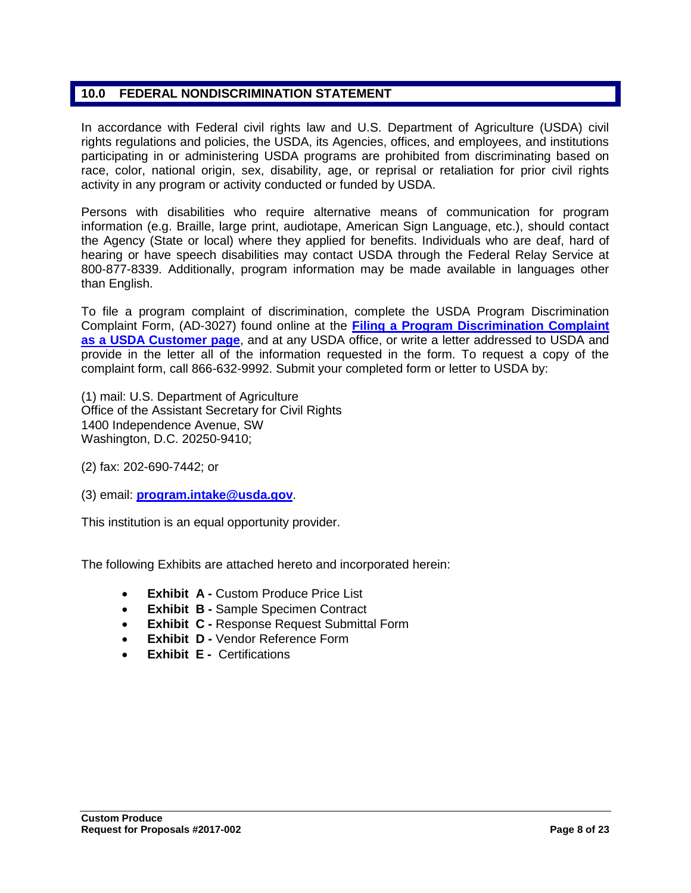## **10.0 FEDERAL NONDISCRIMINATION STATEMENT**

In accordance with Federal civil rights law and U.S. Department of Agriculture (USDA) civil rights regulations and policies, the USDA, its Agencies, offices, and employees, and institutions participating in or administering USDA programs are prohibited from discriminating based on race, color, national origin, sex, disability, age, or reprisal or retaliation for prior civil rights activity in any program or activity conducted or funded by USDA.

Persons with disabilities who require alternative means of communication for program information (e.g. Braille, large print, audiotape, American Sign Language, etc.), should contact the Agency (State or local) where they applied for benefits. Individuals who are deaf, hard of hearing or have speech disabilities may contact USDA through the Federal Relay Service at 800-877-8339. Additionally, program information may be made available in languages other than English.

To file a program complaint of discrimination, complete the USDA Program Discrimination Complaint Form, (AD-3027) found online at the **[Filing a Program Discrimination Complaint](http://www.ascr.usda.gov/complaint_filing_cust.html)  [as a USDA Customer page](http://www.ascr.usda.gov/complaint_filing_cust.html)**, and at any USDA office, or write a letter addressed to USDA and provide in the letter all of the information requested in the form. To request a copy of the complaint form, call 866-632-9992. Submit your completed form or letter to USDA by:

(1) mail: U.S. Department of Agriculture Office of the Assistant Secretary for Civil Rights 1400 Independence Avenue, SW Washington, D.C. 20250-9410;

(2) fax: 202-690-7442; or

(3) email: **[program.intake@usda.gov](mailto:program.intake@usda.gov)**.

This institution is an equal opportunity provider.

The following Exhibits are attached hereto and incorporated herein:

- **Exhibit A -** Custom Produce Price List
- **Exhibit B -** Sample Specimen Contract
- **Exhibit C -** Response Request Submittal Form
- **Exhibit D Vendor Reference Form**
- **Exhibit E -** Certifications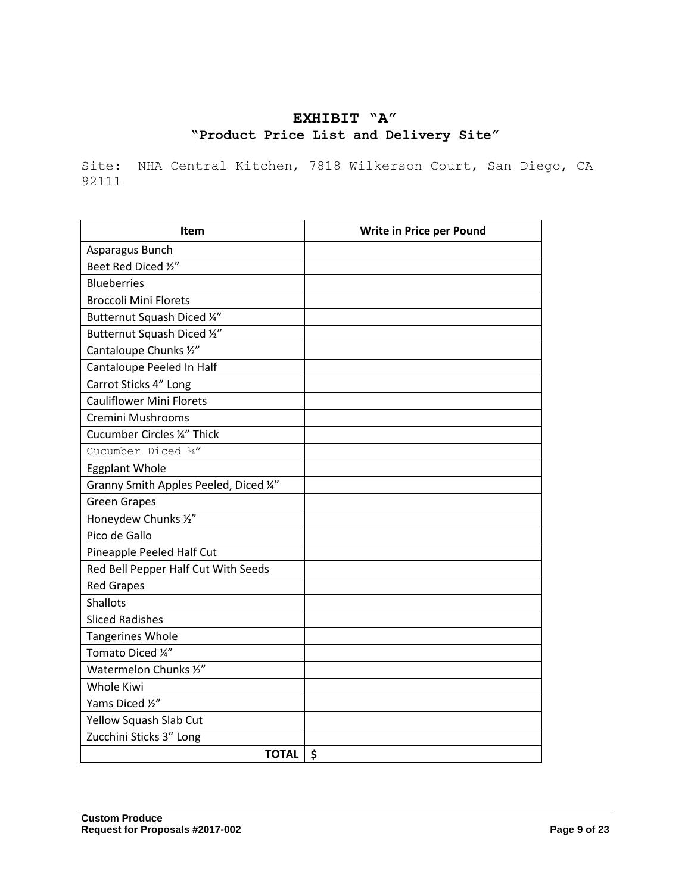# **EXHIBIT "A" "Product Price List and Delivery Site"**

Site: NHA Central Kitchen, 7818 Wilkerson Court, San Diego, CA 92111

| <b>Item</b>                            | Write in Price per Pound |  |
|----------------------------------------|--------------------------|--|
| Asparagus Bunch                        |                          |  |
| Beet Red Diced 1/2"                    |                          |  |
| <b>Blueberries</b>                     |                          |  |
| <b>Broccoli Mini Florets</b>           |                          |  |
| Butternut Squash Diced 1/4"            |                          |  |
| Butternut Squash Diced 1/2"            |                          |  |
| Cantaloupe Chunks 1/2"                 |                          |  |
| Cantaloupe Peeled In Half              |                          |  |
| Carrot Sticks 4" Long                  |                          |  |
| <b>Cauliflower Mini Florets</b>        |                          |  |
| Cremini Mushrooms                      |                          |  |
| <b>Cucumber Circles ¼" Thick</b>       |                          |  |
| Cucumber Diced 14"                     |                          |  |
| <b>Eggplant Whole</b>                  |                          |  |
| Granny Smith Apples Peeled, Diced 1/4" |                          |  |
| <b>Green Grapes</b>                    |                          |  |
| Honeydew Chunks 1/2"                   |                          |  |
| Pico de Gallo                          |                          |  |
| Pineapple Peeled Half Cut              |                          |  |
| Red Bell Pepper Half Cut With Seeds    |                          |  |
| <b>Red Grapes</b>                      |                          |  |
| <b>Shallots</b>                        |                          |  |
| <b>Sliced Radishes</b>                 |                          |  |
| <b>Tangerines Whole</b>                |                          |  |
| Tomato Diced 1/4"                      |                          |  |
| Watermelon Chunks 1/2"                 |                          |  |
| <b>Whole Kiwi</b>                      |                          |  |
| Yams Diced 1/2"                        |                          |  |
| Yellow Squash Slab Cut                 |                          |  |
| Zucchini Sticks 3" Long                |                          |  |
| <b>TOTAL</b><br>$\ddot{\bm{\zeta}}$    |                          |  |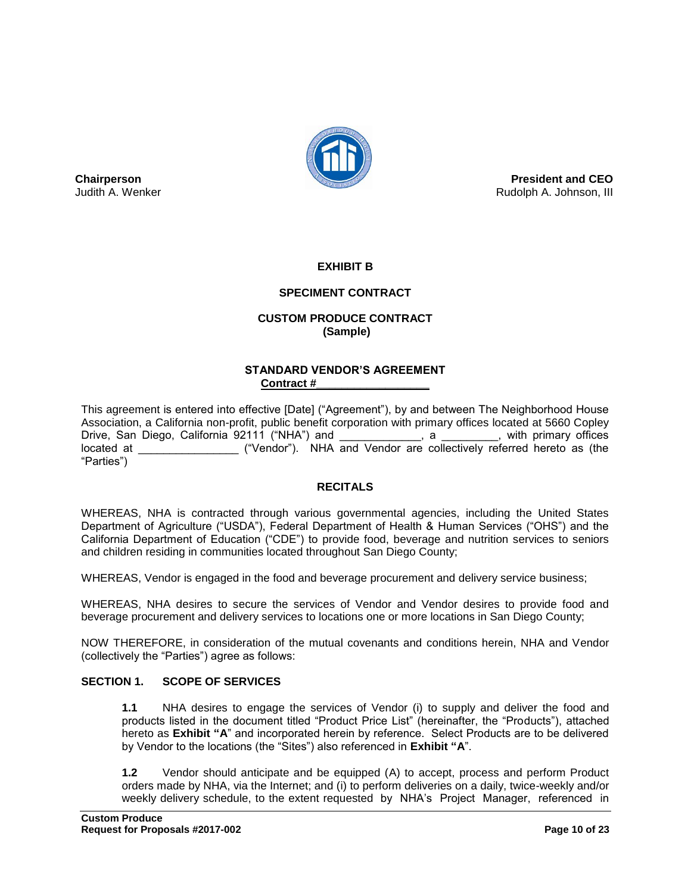

**President and CEO** Rudolph A. Johnson, III

## **EXHIBIT B**

## **SPECIMENT CONTRACT**

## **CUSTOM PRODUCE CONTRACT (Sample)**

#### **STANDARD VENDOR'S AGREEMENT Contract #\_\_\_\_\_\_\_\_\_\_\_\_\_\_\_\_\_\_**

This agreement is entered into effective [Date] ("Agreement"), by and between The Neighborhood House Association, a California non-profit, public benefit corporation with primary offices located at 5660 Copley Drive, San Diego, California 92111 ("NHA") and \_\_\_\_\_\_\_\_\_\_\_\_, a \_\_\_\_\_\_\_\_\_, with primary offices located at  $($ "Vendor"). NHA and Vendor are collectively referred hereto as (the "Parties")

#### **RECITALS**

WHEREAS, NHA is contracted through various governmental agencies, including the United States Department of Agriculture ("USDA"), Federal Department of Health & Human Services ("OHS") and the California Department of Education ("CDE") to provide food, beverage and nutrition services to seniors and children residing in communities located throughout San Diego County;

WHEREAS, Vendor is engaged in the food and beverage procurement and delivery service business;

WHEREAS, NHA desires to secure the services of Vendor and Vendor desires to provide food and beverage procurement and delivery services to locations one or more locations in San Diego County;

NOW THEREFORE, in consideration of the mutual covenants and conditions herein, NHA and Vendor (collectively the "Parties") agree as follows:

#### **SECTION 1. SCOPE OF SERVICES**

**Chairperson** Judith A. Wenker

> **1.1** NHA desires to engage the services of Vendor (i) to supply and deliver the food and products listed in the document titled "Product Price List" (hereinafter, the "Products"), attached hereto as **Exhibit "A**" and incorporated herein by reference. Select Products are to be delivered by Vendor to the locations (the "Sites") also referenced in **Exhibit "A**".

> **1.2** Vendor should anticipate and be equipped (A) to accept, process and perform Product orders made by NHA, via the Internet; and (i) to perform deliveries on a daily, twice-weekly and/or weekly delivery schedule, to the extent requested by NHA's Project Manager, referenced in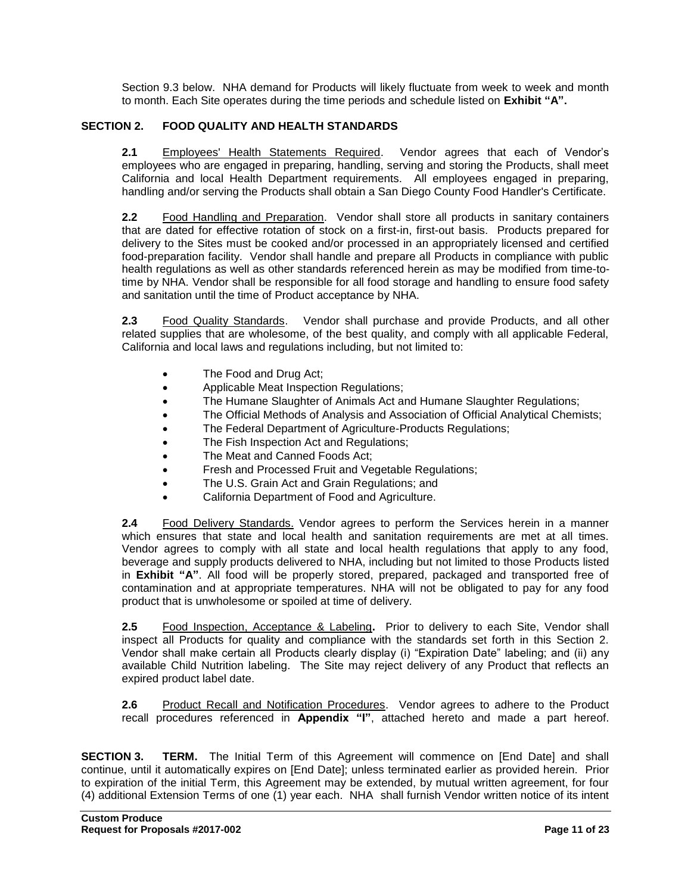Section 9.3 below. NHA demand for Products will likely fluctuate from week to week and month to month. Each Site operates during the time periods and schedule listed on **Exhibit "A".**

## **SECTION 2. FOOD QUALITY AND HEALTH STANDARDS**

**2.1** Employees' Health Statements Required. Vendor agrees that each of Vendor's employees who are engaged in preparing, handling, serving and storing the Products, shall meet California and local Health Department requirements. All employees engaged in preparing, handling and/or serving the Products shall obtain a San Diego County Food Handler's Certificate.

**2.2** Food Handling and Preparation. Vendor shall store all products in sanitary containers that are dated for effective rotation of stock on a first-in, first-out basis. Products prepared for delivery to the Sites must be cooked and/or processed in an appropriately licensed and certified food-preparation facility. Vendor shall handle and prepare all Products in compliance with public health regulations as well as other standards referenced herein as may be modified from time-totime by NHA. Vendor shall be responsible for all food storage and handling to ensure food safety and sanitation until the time of Product acceptance by NHA.

**2.3** Food Quality Standards. Vendor shall purchase and provide Products, and all other related supplies that are wholesome, of the best quality, and comply with all applicable Federal, California and local laws and regulations including, but not limited to:

- The Food and Drug Act;
- Applicable Meat Inspection Regulations;
- The Humane Slaughter of Animals Act and Humane Slaughter Regulations;
- The Official Methods of Analysis and Association of Official Analytical Chemists;
- The Federal Department of Agriculture-Products Regulations;
- The Fish Inspection Act and Regulations;
- The Meat and Canned Foods Act;
- Fresh and Processed Fruit and Vegetable Regulations;
- The U.S. Grain Act and Grain Regulations; and
- California Department of Food and Agriculture.

**2.4** Food Delivery Standards. Vendor agrees to perform the Services herein in a manner which ensures that state and local health and sanitation requirements are met at all times. Vendor agrees to comply with all state and local health regulations that apply to any food, beverage and supply products delivered to NHA, including but not limited to those Products listed in **Exhibit "A"**. All food will be properly stored, prepared, packaged and transported free of contamination and at appropriate temperatures. NHA will not be obligated to pay for any food product that is unwholesome or spoiled at time of delivery.

**2.5** Food Inspection, Acceptance & Labeling**.** Prior to delivery to each Site, Vendor shall inspect all Products for quality and compliance with the standards set forth in this Section 2. Vendor shall make certain all Products clearly display (i) "Expiration Date" labeling; and (ii) any available Child Nutrition labeling. The Site may reject delivery of any Product that reflects an expired product label date.

**2.6** Product Recall and Notification Procedures. Vendor agrees to adhere to the Product recall procedures referenced in **Appendix "I"**, attached hereto and made a part hereof.

**SECTION 3. TERM.** The Initial Term of this Agreement will commence on [End Date] and shall continue, until it automatically expires on [End Date]; unless terminated earlier as provided herein. Prior to expiration of the initial Term, this Agreement may be extended, by mutual written agreement, for four (4) additional Extension Terms of one (1) year each. NHA shall furnish Vendor written notice of its intent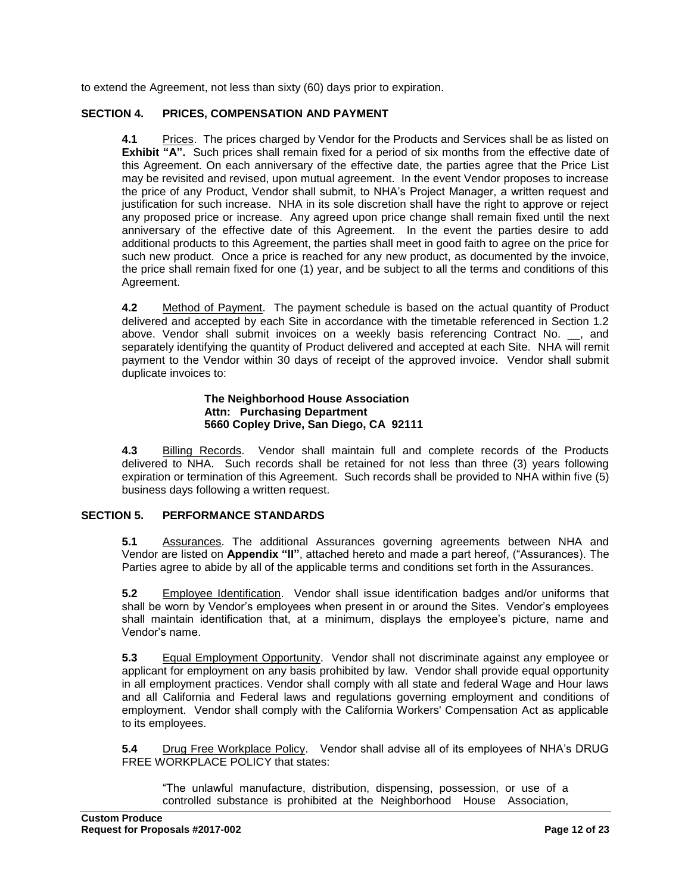to extend the Agreement, not less than sixty (60) days prior to expiration.

#### **SECTION 4. PRICES, COMPENSATION AND PAYMENT**

**4.1** Prices.The prices charged by Vendor for the Products and Services shall be as listed on **Exhibit "A".** Such prices shall remain fixed for a period of six months from the effective date of this Agreement. On each anniversary of the effective date, the parties agree that the Price List may be revisited and revised, upon mutual agreement. In the event Vendor proposes to increase the price of any Product, Vendor shall submit, to NHA's Project Manager, a written request and justification for such increase. NHA in its sole discretion shall have the right to approve or reject any proposed price or increase. Any agreed upon price change shall remain fixed until the next anniversary of the effective date of this Agreement. In the event the parties desire to add additional products to this Agreement, the parties shall meet in good faith to agree on the price for such new product. Once a price is reached for any new product, as documented by the invoice, the price shall remain fixed for one (1) year, and be subject to all the terms and conditions of this Agreement.

**4.2** Method of Payment. The payment schedule is based on the actual quantity of Product delivered and accepted by each Site in accordance with the timetable referenced in Section 1.2 above. Vendor shall submit invoices on a weekly basis referencing Contract No. \_\_, and separately identifying the quantity of Product delivered and accepted at each Site. NHA will remit payment to the Vendor within 30 days of receipt of the approved invoice. Vendor shall submit duplicate invoices to:

#### **The Neighborhood House Association Attn: Purchasing Department 5660 Copley Drive, San Diego, CA 92111**

**4.3** Billing Records. Vendor shall maintain full and complete records of the Products delivered to NHA. Such records shall be retained for not less than three (3) years following expiration or termination of this Agreement. Such records shall be provided to NHA within five (5) business days following a written request.

#### **SECTION 5. PERFORMANCE STANDARDS**

**5.1** Assurances. The additional Assurances governing agreements between NHA and Vendor are listed on **Appendix "II"**, attached hereto and made a part hereof, ("Assurances). The Parties agree to abide by all of the applicable terms and conditions set forth in the Assurances.

**5.2** Employee Identification. Vendor shall issue identification badges and/or uniforms that shall be worn by Vendor's employees when present in or around the Sites. Vendor's employees shall maintain identification that, at a minimum, displays the employee's picture, name and Vendor's name.

**5.3** Equal Employment Opportunity. Vendor shall not discriminate against any employee or applicant for employment on any basis prohibited by law. Vendor shall provide equal opportunity in all employment practices. Vendor shall comply with all state and federal Wage and Hour laws and all California and Federal laws and regulations governing employment and conditions of employment. Vendor shall comply with the California Workers' Compensation Act as applicable to its employees.

**5.4** Drug Free Workplace Policy. Vendor shall advise all of its employees of NHA's DRUG FREE WORKPLACE POLICY that states:

"The unlawful manufacture, distribution, dispensing, possession, or use of a controlled substance is prohibited at the Neighborhood House Association,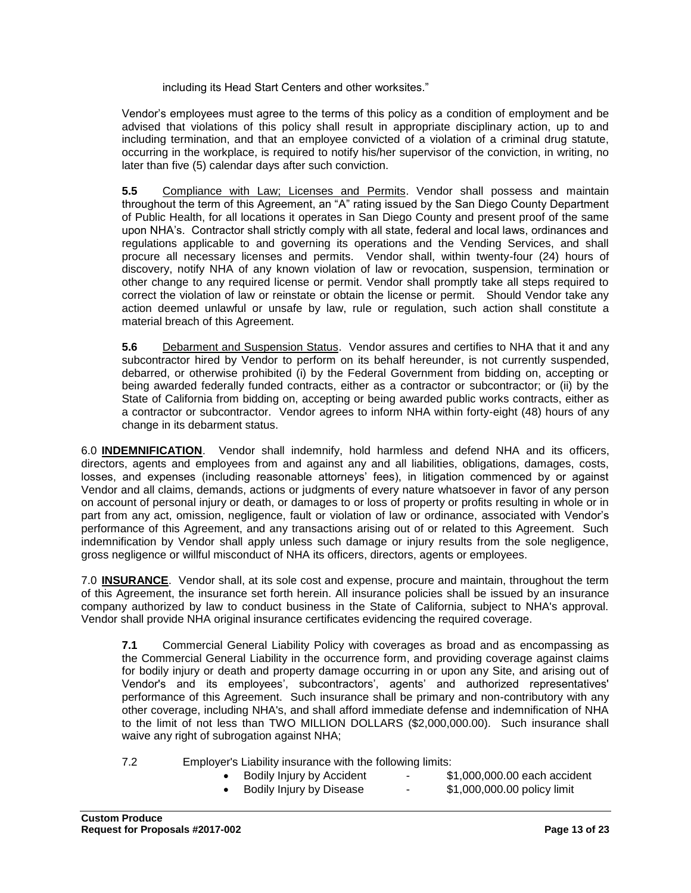including its Head Start Centers and other worksites."

Vendor's employees must agree to the terms of this policy as a condition of employment and be advised that violations of this policy shall result in appropriate disciplinary action, up to and including termination, and that an employee convicted of a violation of a criminal drug statute, occurring in the workplace, is required to notify his/her supervisor of the conviction, in writing, no later than five (5) calendar days after such conviction.

**5.5** Compliance with Law; Licenses and Permits. Vendor shall possess and maintain throughout the term of this Agreement, an "A" rating issued by the San Diego County Department of Public Health, for all locations it operates in San Diego County and present proof of the same upon NHA's. Contractor shall strictly comply with all state, federal and local laws, ordinances and regulations applicable to and governing its operations and the Vending Services, and shall procure all necessary licenses and permits. Vendor shall, within twenty-four (24) hours of discovery, notify NHA of any known violation of law or revocation, suspension, termination or other change to any required license or permit. Vendor shall promptly take all steps required to correct the violation of law or reinstate or obtain the license or permit. Should Vendor take any action deemed unlawful or unsafe by law, rule or regulation, such action shall constitute a material breach of this Agreement.

**5.6** Debarment and Suspension Status. Vendor assures and certifies to NHA that it and any subcontractor hired by Vendor to perform on its behalf hereunder, is not currently suspended, debarred, or otherwise prohibited (i) by the Federal Government from bidding on, accepting or being awarded federally funded contracts, either as a contractor or subcontractor; or (ii) by the State of California from bidding on, accepting or being awarded public works contracts, either as a contractor or subcontractor. Vendor agrees to inform NHA within forty-eight (48) hours of any change in its debarment status.

6.0 **INDEMNIFICATION**. Vendor shall indemnify, hold harmless and defend NHA and its officers, directors, agents and employees from and against any and all liabilities, obligations, damages, costs, losses, and expenses (including reasonable attorneys' fees), in litigation commenced by or against Vendor and all claims, demands, actions or judgments of every nature whatsoever in favor of any person on account of personal injury or death, or damages to or loss of property or profits resulting in whole or in part from any act, omission, negligence, fault or violation of law or ordinance, associated with Vendor's performance of this Agreement, and any transactions arising out of or related to this Agreement. Such indemnification by Vendor shall apply unless such damage or injury results from the sole negligence, gross negligence or willful misconduct of NHA its officers, directors, agents or employees.

7.0 **INSURANCE**. Vendor shall, at its sole cost and expense, procure and maintain, throughout the term of this Agreement, the insurance set forth herein. All insurance policies shall be issued by an insurance company authorized by law to conduct business in the State of California, subject to NHA's approval. Vendor shall provide NHA original insurance certificates evidencing the required coverage.

**7.1** Commercial General Liability Policy with coverages as broad and as encompassing as the Commercial General Liability in the occurrence form, and providing coverage against claims for bodily injury or death and property damage occurring in or upon any Site, and arising out of Vendor's and its employees', subcontractors', agents' and authorized representatives' performance of this Agreement. Such insurance shall be primary and non-contributory with any other coverage, including NHA's, and shall afford immediate defense and indemnification of NHA to the limit of not less than TWO MILLION DOLLARS (\$2,000,000.00). Such insurance shall waive any right of subrogation against NHA;

7.2 Employer's Liability insurance with the following limits:

- Bodily Injury by Accident \$1,000,000.00 each accident
- Bodily Injury by Disease \$1,000,000.00 policy limit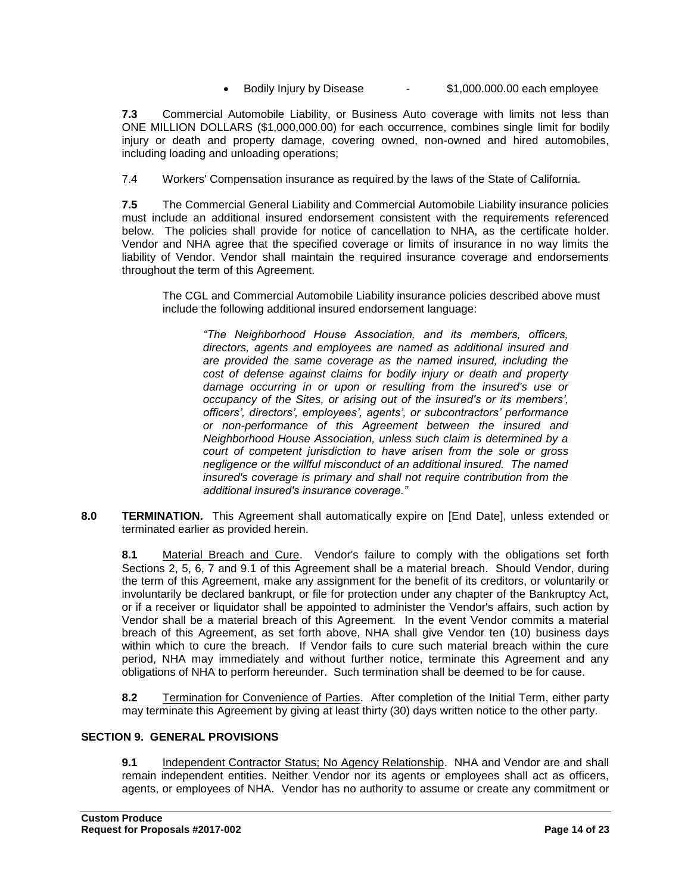• Bodily Injury by Disease - \$1,000.000.00 each employee

**7.3** Commercial Automobile Liability, or Business Auto coverage with limits not less than ONE MILLION DOLLARS (\$1,000,000.00) for each occurrence, combines single limit for bodily injury or death and property damage, covering owned, non-owned and hired automobiles, including loading and unloading operations;

7.4 Workers' Compensation insurance as required by the laws of the State of California.

**7.5** The Commercial General Liability and Commercial Automobile Liability insurance policies must include an additional insured endorsement consistent with the requirements referenced below. The policies shall provide for notice of cancellation to NHA, as the certificate holder. Vendor and NHA agree that the specified coverage or limits of insurance in no way limits the liability of Vendor. Vendor shall maintain the required insurance coverage and endorsements throughout the term of this Agreement.

The CGL and Commercial Automobile Liability insurance policies described above must include the following additional insured endorsement language:

*"The Neighborhood House Association, and its members, officers, directors, agents and employees are named as additional insured and are provided the same coverage as the named insured, including the cost of defense against claims for bodily injury or death and property damage occurring in or upon or resulting from the insured's use or occupancy of the Sites, or arising out of the insured's or its members', officers', directors', employees', agents', or subcontractors' performance or non-performance of this Agreement between the insured and Neighborhood House Association, unless such claim is determined by a court of competent jurisdiction to have arisen from the sole or gross negligence or the willful misconduct of an additional insured. The named insured's coverage is primary and shall not require contribution from the additional insured's insurance coverage."*

**8.0 TERMINATION.** This Agreement shall automatically expire on [End Date], unless extended or terminated earlier as provided herein.

**8.1** Material Breach and Cure. Vendor's failure to comply with the obligations set forth Sections 2, 5, 6, 7 and 9.1 of this Agreement shall be a material breach. Should Vendor, during the term of this Agreement, make any assignment for the benefit of its creditors, or voluntarily or involuntarily be declared bankrupt, or file for protection under any chapter of the Bankruptcy Act, or if a receiver or liquidator shall be appointed to administer the Vendor's affairs, such action by Vendor shall be a material breach of this Agreement. In the event Vendor commits a material breach of this Agreement, as set forth above, NHA shall give Vendor ten (10) business days within which to cure the breach. If Vendor fails to cure such material breach within the cure period, NHA may immediately and without further notice, terminate this Agreement and any obligations of NHA to perform hereunder. Such termination shall be deemed to be for cause.

**8.2** Termination for Convenience of Parties. After completion of the Initial Term, either party may terminate this Agreement by giving at least thirty (30) days written notice to the other party.

#### **SECTION 9. GENERAL PROVISIONS**

**9.1** Independent Contractor Status; No Agency Relationship. NHA and Vendor are and shall remain independent entities. Neither Vendor nor its agents or employees shall act as officers, agents, or employees of NHA. Vendor has no authority to assume or create any commitment or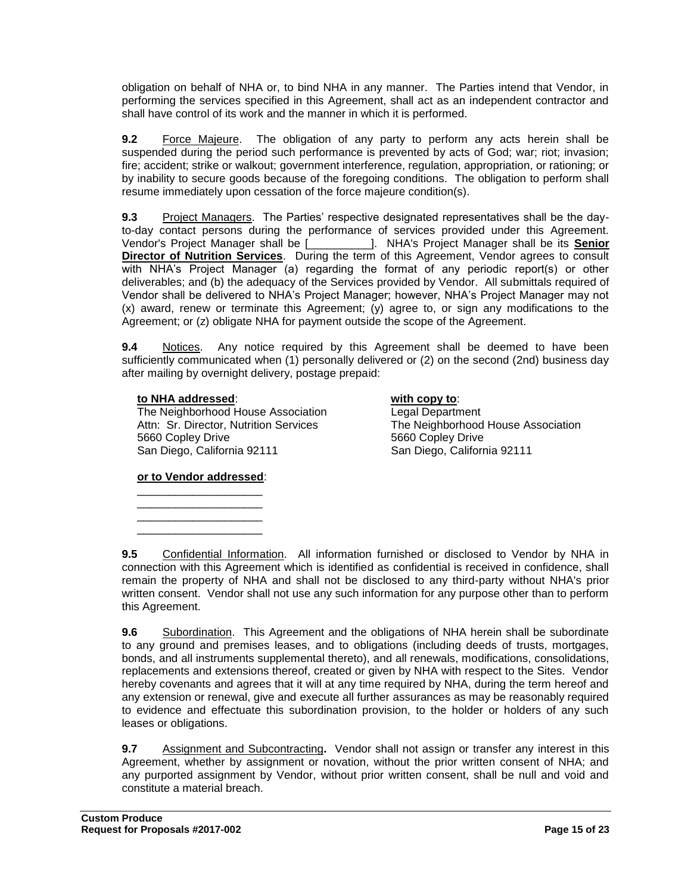obligation on behalf of NHA or, to bind NHA in any manner. The Parties intend that Vendor, in performing the services specified in this Agreement, shall act as an independent contractor and shall have control of its work and the manner in which it is performed.

**9.2** Force Majeure. The obligation of any party to perform any acts herein shall be suspended during the period such performance is prevented by acts of God; war; riot; invasion; fire; accident; strike or walkout; government interference, regulation, appropriation, or rationing; or by inability to secure goods because of the foregoing conditions. The obligation to perform shall resume immediately upon cessation of the force majeure condition(s).

**9.3** Project Managers. The Parties' respective designated representatives shall be the dayto-day contact persons during the performance of services provided under this Agreement. Vendor's Project Manager shall be [\_\_\_\_\_\_\_\_\_\_]. NHA's Project Manager shall be its **Senior Director of Nutrition Services**. During the term of this Agreement, Vendor agrees to consult with NHA's Project Manager (a) regarding the format of any periodic report(s) or other deliverables; and (b) the adequacy of the Services provided by Vendor. All submittals required of Vendor shall be delivered to NHA's Project Manager; however, NHA's Project Manager may not (x) award, renew or terminate this Agreement; (y) agree to, or sign any modifications to the Agreement; or (z) obligate NHA for payment outside the scope of the Agreement.

**9.4** Notices. Any notice required by this Agreement shall be deemed to have been sufficiently communicated when (1) personally delivered or (2) on the second (2nd) business day after mailing by overnight delivery, postage prepaid:

#### **to NHA addressed**: **with copy to**:

The Neighborhood House Association Legal Department Attn: Sr. Director, Nutrition Services The Neighborhood House Association 5660 Copley Drive 5660 Copley Drive San Diego, California 92111 San Diego, California 92111

#### **or to Vendor addressed**: \_\_\_\_\_\_\_\_\_\_\_\_\_\_\_\_\_\_\_\_

\_\_\_\_\_\_\_\_\_\_\_\_\_\_\_\_\_\_\_\_ \_\_\_\_\_\_\_\_\_\_\_\_\_\_\_\_\_\_\_\_ \_\_\_\_\_\_\_\_\_\_\_\_\_\_\_\_\_\_\_\_

**9.5** Confidential Information. All information furnished or disclosed to Vendor by NHA in connection with this Agreement which is identified as confidential is received in confidence, shall remain the property of NHA and shall not be disclosed to any third-party without NHA's prior written consent. Vendor shall not use any such information for any purpose other than to perform this Agreement.

**9.6** Subordination. This Agreement and the obligations of NHA herein shall be subordinate to any ground and premises leases, and to obligations (including deeds of trusts, mortgages, bonds, and all instruments supplemental thereto), and all renewals, modifications, consolidations, replacements and extensions thereof, created or given by NHA with respect to the Sites. Vendor hereby covenants and agrees that it will at any time required by NHA, during the term hereof and any extension or renewal, give and execute all further assurances as may be reasonably required to evidence and effectuate this subordination provision, to the holder or holders of any such leases or obligations.

**9.7** Assignment and Subcontracting**.** Vendor shall not assign or transfer any interest in this Agreement, whether by assignment or novation, without the prior written consent of NHA; and any purported assignment by Vendor, without prior written consent, shall be null and void and constitute a material breach.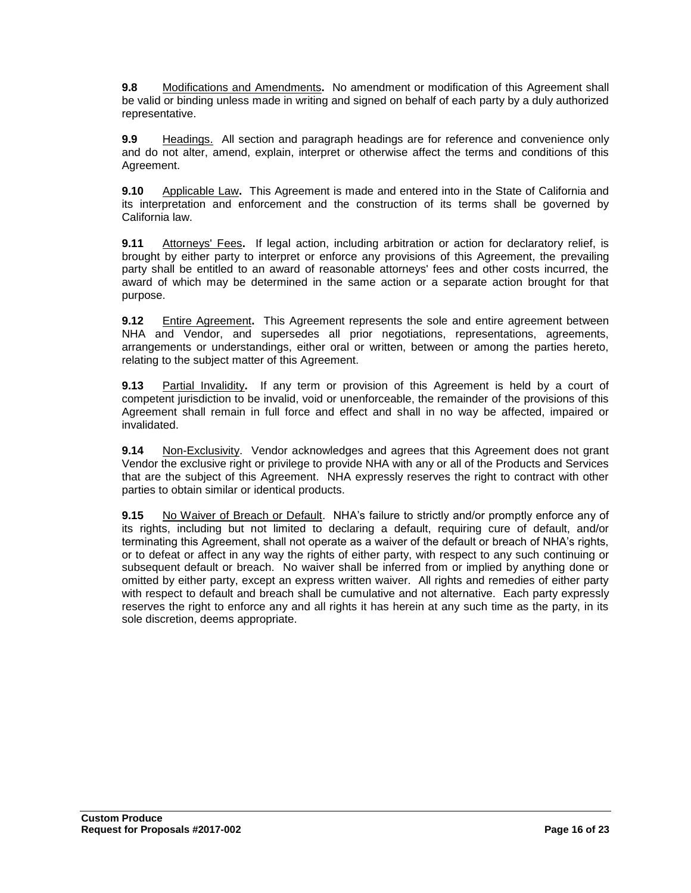**9.8** Modifications and Amendments**.** No amendment or modification of this Agreement shall be valid or binding unless made in writing and signed on behalf of each party by a duly authorized representative.

**9.9** Headings. All section and paragraph headings are for reference and convenience only and do not alter, amend, explain, interpret or otherwise affect the terms and conditions of this Agreement.

**9.10** Applicable Law**.** This Agreement is made and entered into in the State of California and its interpretation and enforcement and the construction of its terms shall be governed by California law.

**9.11** Attorneys' Fees**.** If legal action, including arbitration or action for declaratory relief, is brought by either party to interpret or enforce any provisions of this Agreement, the prevailing party shall be entitled to an award of reasonable attorneys' fees and other costs incurred, the award of which may be determined in the same action or a separate action brought for that purpose.

**9.12** Entire Agreement. This Agreement represents the sole and entire agreement between NHA and Vendor, and supersedes all prior negotiations, representations, agreements, arrangements or understandings, either oral or written, between or among the parties hereto, relating to the subject matter of this Agreement.

**9.13** Partial Invalidity**.** If any term or provision of this Agreement is held by a court of competent jurisdiction to be invalid, void or unenforceable, the remainder of the provisions of this Agreement shall remain in full force and effect and shall in no way be affected, impaired or invalidated.

**9.14** Non-Exclusivity. Vendor acknowledges and agrees that this Agreement does not grant Vendor the exclusive right or privilege to provide NHA with any or all of the Products and Services that are the subject of this Agreement. NHA expressly reserves the right to contract with other parties to obtain similar or identical products.

**9.15** No Waiver of Breach or Default. NHA's failure to strictly and/or promptly enforce any of its rights, including but not limited to declaring a default, requiring cure of default, and/or terminating this Agreement, shall not operate as a waiver of the default or breach of NHA's rights, or to defeat or affect in any way the rights of either party, with respect to any such continuing or subsequent default or breach. No waiver shall be inferred from or implied by anything done or omitted by either party, except an express written waiver. All rights and remedies of either party with respect to default and breach shall be cumulative and not alternative. Each party expressly reserves the right to enforce any and all rights it has herein at any such time as the party, in its sole discretion, deems appropriate.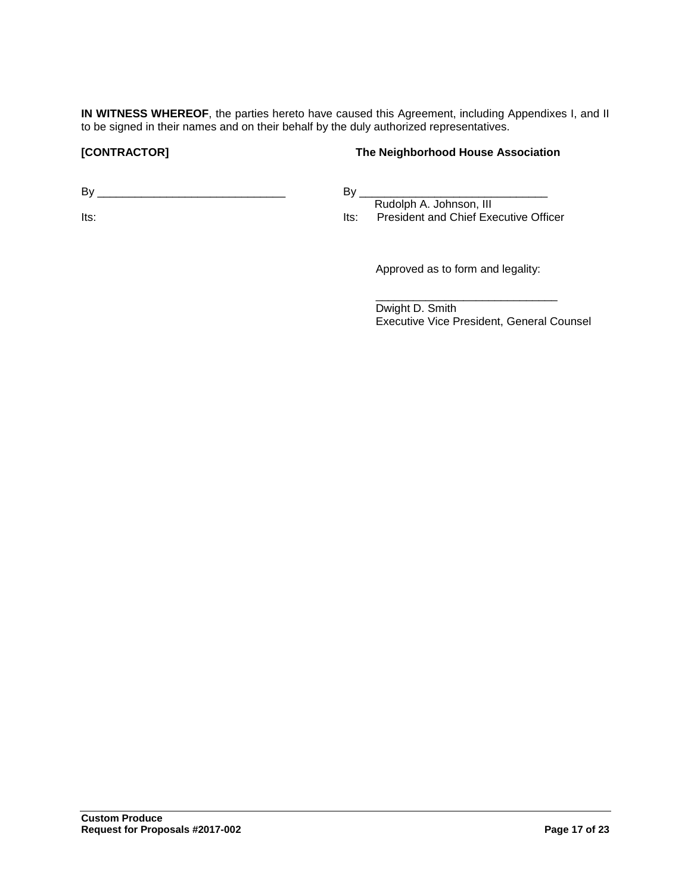**IN WITNESS WHEREOF**, the parties hereto have caused this Agreement, including Appendixes I, and II to be signed in their names and on their behalf by the duly authorized representatives.

#### **[CONTRACTOR] The Neighborhood House Association**

By \_\_\_\_\_\_\_\_\_\_\_\_\_\_\_\_\_\_\_\_\_\_\_\_\_\_\_\_\_\_

Its:

By \_\_\_\_\_\_\_\_\_\_\_\_\_\_\_\_\_\_\_\_\_\_\_\_\_\_\_\_\_\_ Rudolph A. Johnson, III Its: President and Chief Executive Officer

Approved as to form and legality:

\_\_\_\_\_\_\_\_\_\_\_\_\_\_\_\_\_\_\_\_\_\_\_\_\_\_\_\_\_

Dwight D. Smith Executive Vice President, General Counsel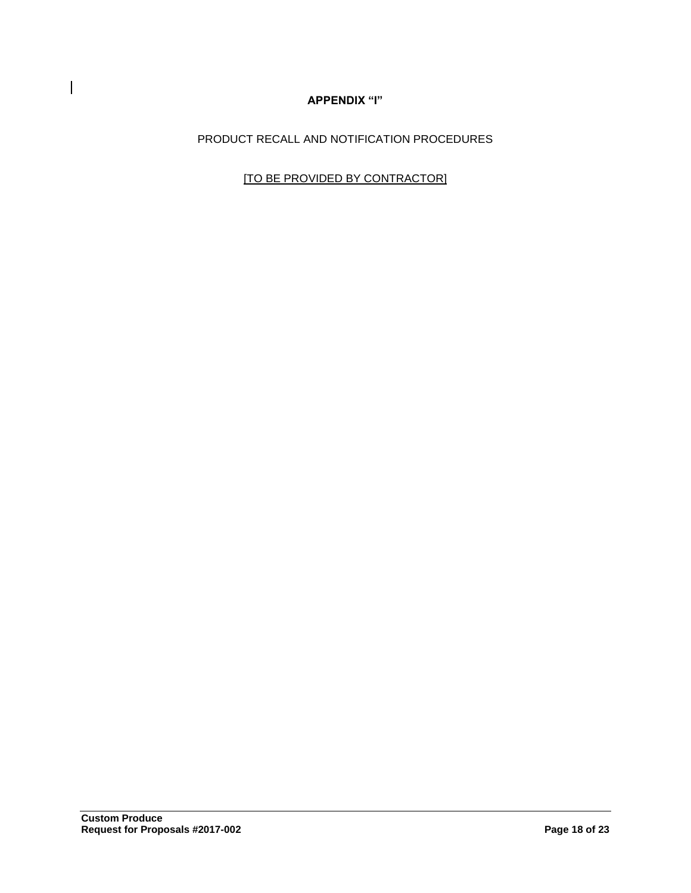## **APPENDIX "I"**

PRODUCT RECALL AND NOTIFICATION PROCEDURES

[TO BE PROVIDED BY CONTRACTOR]

 $\mathbf{I}$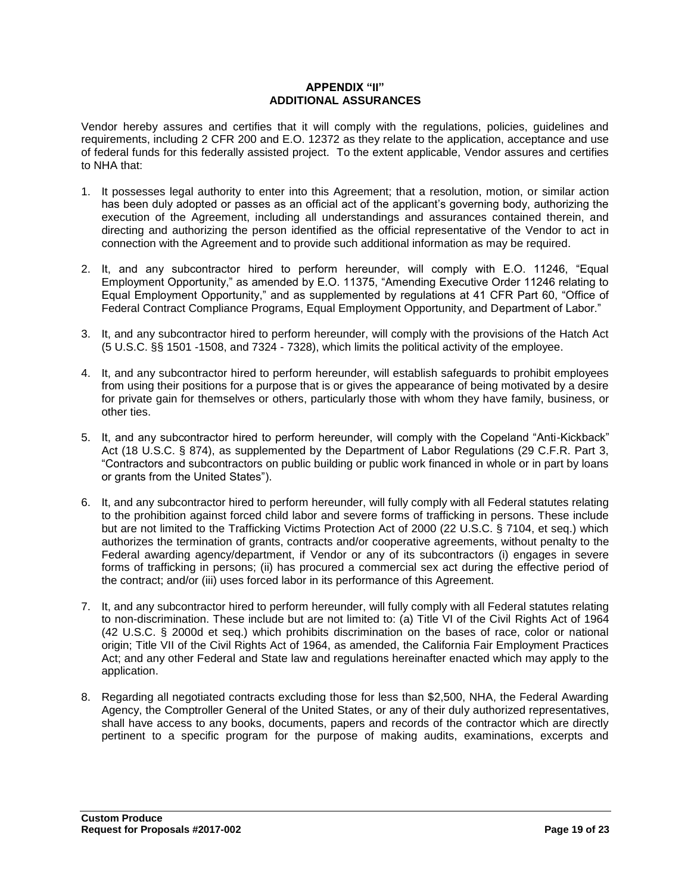#### **APPENDIX "II" ADDITIONAL ASSURANCES**

Vendor hereby assures and certifies that it will comply with the regulations, policies, guidelines and requirements, including 2 CFR 200 and E.O. 12372 as they relate to the application, acceptance and use of federal funds for this federally assisted project. To the extent applicable, Vendor assures and certifies to NHA that:

- 1. It possesses legal authority to enter into this Agreement; that a resolution, motion, or similar action has been duly adopted or passes as an official act of the applicant's governing body, authorizing the execution of the Agreement, including all understandings and assurances contained therein, and directing and authorizing the person identified as the official representative of the Vendor to act in connection with the Agreement and to provide such additional information as may be required.
- 2. It, and any subcontractor hired to perform hereunder, will comply with E.O. 11246, "Equal Employment Opportunity," as amended by E.O. 11375, "Amending Executive Order 11246 relating to Equal Employment Opportunity," and as supplemented by regulations at 41 CFR Part 60, "Office of Federal Contract Compliance Programs, Equal Employment Opportunity, and Department of Labor."
- 3. It, and any subcontractor hired to perform hereunder, will comply with the provisions of the Hatch Act (5 U.S.C. §§ 1501 -1508, and 7324 - 7328), which limits the political activity of the employee.
- 4. It, and any subcontractor hired to perform hereunder, will establish safeguards to prohibit employees from using their positions for a purpose that is or gives the appearance of being motivated by a desire for private gain for themselves or others, particularly those with whom they have family, business, or other ties.
- 5. It, and any subcontractor hired to perform hereunder, will comply with the Copeland "Anti-Kickback" Act (18 U.S.C. § 874), as supplemented by the Department of Labor Regulations (29 C.F.R. Part 3, "Contractors and subcontractors on public building or public work financed in whole or in part by loans or grants from the United States").
- 6. It, and any subcontractor hired to perform hereunder, will fully comply with all Federal statutes relating to the prohibition against forced child labor and severe forms of trafficking in persons. These include but are not limited to the Trafficking Victims Protection Act of 2000 (22 U.S.C. § 7104, et seq.) which authorizes the termination of grants, contracts and/or cooperative agreements, without penalty to the Federal awarding agency/department, if Vendor or any of its subcontractors (i) engages in severe forms of trafficking in persons; (ii) has procured a commercial sex act during the effective period of the contract; and/or (iii) uses forced labor in its performance of this Agreement.
- 7. It, and any subcontractor hired to perform hereunder, will fully comply with all Federal statutes relating to non-discrimination. These include but are not limited to: (a) Title VI of the Civil Rights Act of 1964 (42 U.S.C. § 2000d et seq.) which prohibits discrimination on the bases of race, color or national origin; Title VII of the Civil Rights Act of 1964, as amended, the California Fair Employment Practices Act; and any other Federal and State law and regulations hereinafter enacted which may apply to the application.
- 8. Regarding all negotiated contracts excluding those for less than \$2,500, NHA, the Federal Awarding Agency, the Comptroller General of the United States, or any of their duly authorized representatives, shall have access to any books, documents, papers and records of the contractor which are directly pertinent to a specific program for the purpose of making audits, examinations, excerpts and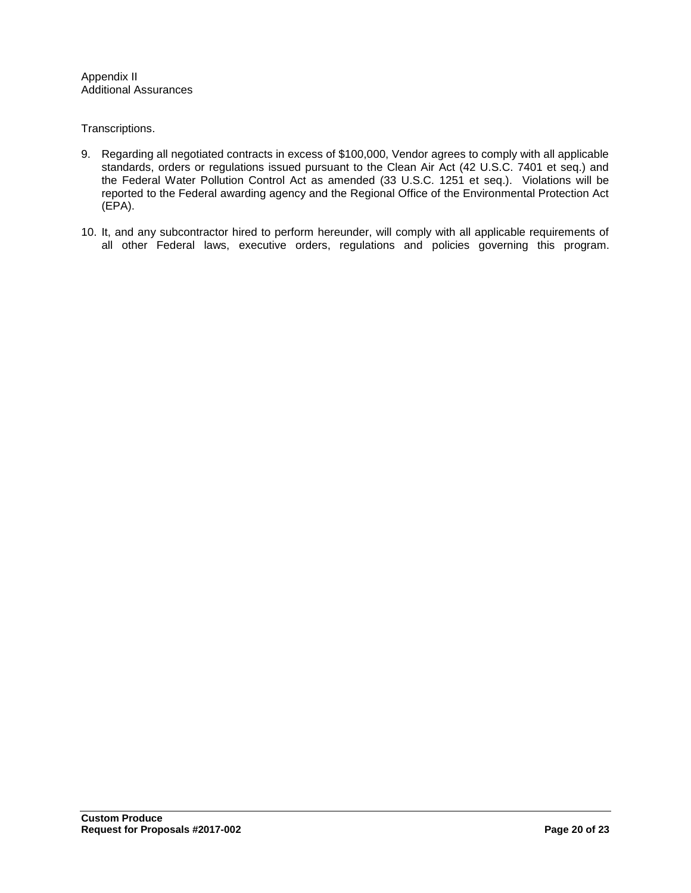Appendix II Additional Assurances

Transcriptions.

- 9. Regarding all negotiated contracts in excess of \$100,000, Vendor agrees to comply with all applicable standards, orders or regulations issued pursuant to the Clean Air Act (42 U.S.C. 7401 et seq.) and the Federal Water Pollution Control Act as amended (33 U.S.C. 1251 et seq.). Violations will be reported to the Federal awarding agency and the Regional Office of the Environmental Protection Act (EPA).
- 10. It, and any subcontractor hired to perform hereunder, will comply with all applicable requirements of all other Federal laws, executive orders, regulations and policies governing this program.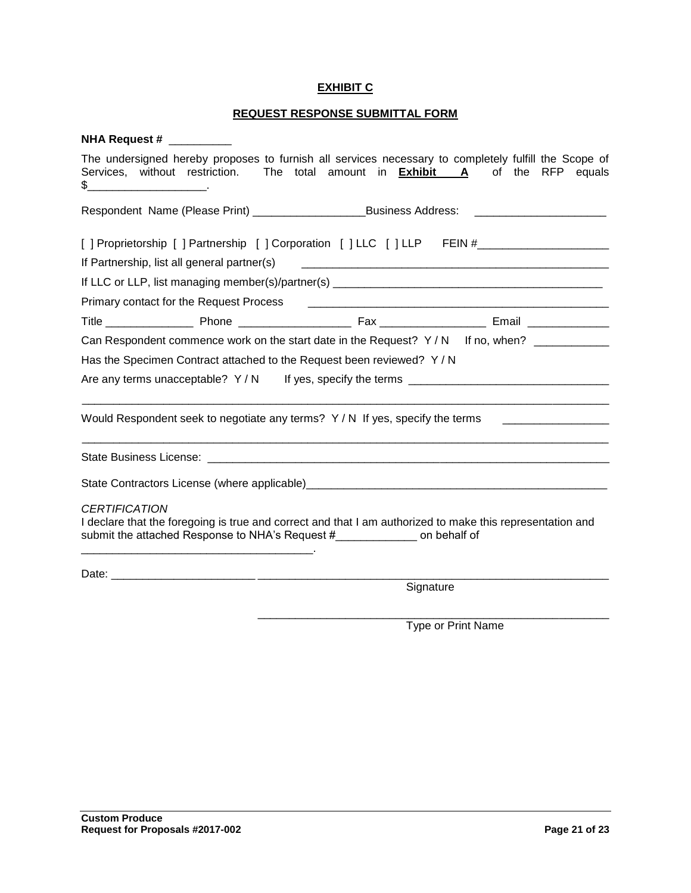## **EXHIBIT C**

## **REQUEST RESPONSE SUBMITTAL FORM**

| <b>NHA Request #</b>                                                                                                                                                                     |                                                                                                                    |
|------------------------------------------------------------------------------------------------------------------------------------------------------------------------------------------|--------------------------------------------------------------------------------------------------------------------|
| The undersigned hereby proposes to furnish all services necessary to completely fulfill the Scope of<br>Services, without restriction. The total amount in <b>Exhibit A</b>              | of the RFP equals                                                                                                  |
| Respondent Name (Please Print) ___________________________Business Address:                                                                                                              |                                                                                                                    |
| [ ] Proprietorship [ ] Partnership [ ] Corporation [ ] LLC [ ] LLP FEIN #__________________________                                                                                      |                                                                                                                    |
| If Partnership, list all general partner(s)                                                                                                                                              | <u> 2000 - Jan James James James James James James James James James James James James James James James James</u> |
|                                                                                                                                                                                          |                                                                                                                    |
| Primary contact for the Request Process                                                                                                                                                  |                                                                                                                    |
|                                                                                                                                                                                          |                                                                                                                    |
| Can Respondent commence work on the start date in the Request? $Y/N$ If no, when?                                                                                                        |                                                                                                                    |
| Has the Specimen Contract attached to the Request been reviewed? Y / N                                                                                                                   |                                                                                                                    |
| Are any terms unacceptable? Y/N If yes, specify the terms _______________________                                                                                                        |                                                                                                                    |
| Would Respondent seek to negotiate any terms? $Y/N$ If yes, specify the terms                                                                                                            |                                                                                                                    |
|                                                                                                                                                                                          |                                                                                                                    |
|                                                                                                                                                                                          |                                                                                                                    |
| <b>CERTIFICATION</b>                                                                                                                                                                     |                                                                                                                    |
| I declare that the foregoing is true and correct and that I am authorized to make this representation and<br>submit the attached Response to NHA's Request #_______________ on behalf of |                                                                                                                    |
|                                                                                                                                                                                          |                                                                                                                    |
|                                                                                                                                                                                          | Signature                                                                                                          |

Type or Print Name

\_\_\_\_\_\_\_\_\_\_\_\_\_\_\_\_\_\_\_\_\_\_\_\_\_\_\_\_\_\_\_\_\_\_\_\_\_\_\_\_\_\_\_\_\_\_\_\_\_\_\_\_\_\_\_\_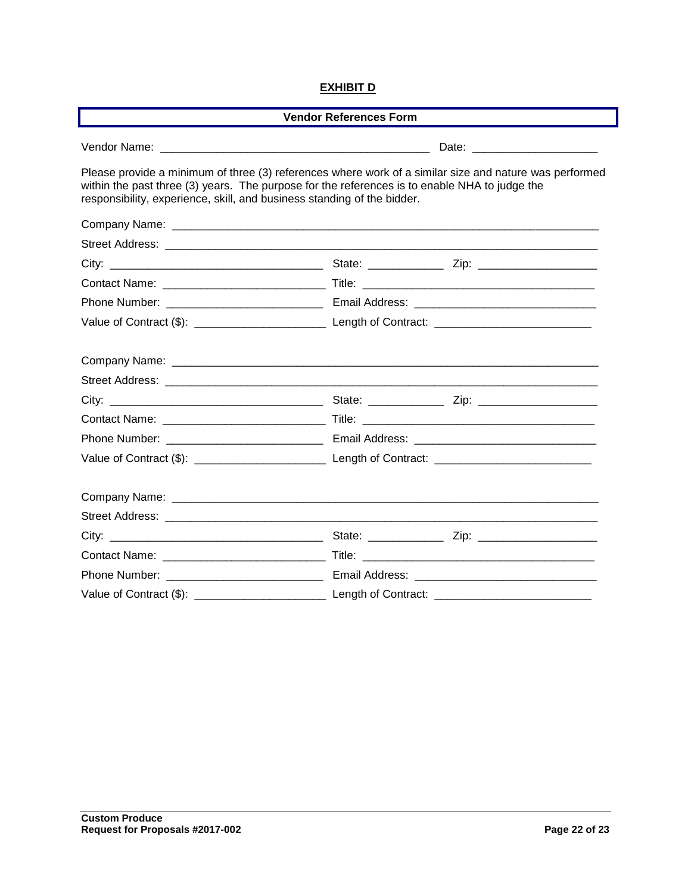## **EXHIBIT D**

| <b>Vendor References Form</b>                                                                                                                                                                                                                                                      |  |  |  |
|------------------------------------------------------------------------------------------------------------------------------------------------------------------------------------------------------------------------------------------------------------------------------------|--|--|--|
|                                                                                                                                                                                                                                                                                    |  |  |  |
| Please provide a minimum of three (3) references where work of a similar size and nature was performed<br>within the past three (3) years. The purpose for the references is to enable NHA to judge the<br>responsibility, experience, skill, and business standing of the bidder. |  |  |  |
|                                                                                                                                                                                                                                                                                    |  |  |  |
|                                                                                                                                                                                                                                                                                    |  |  |  |
|                                                                                                                                                                                                                                                                                    |  |  |  |
|                                                                                                                                                                                                                                                                                    |  |  |  |
|                                                                                                                                                                                                                                                                                    |  |  |  |
|                                                                                                                                                                                                                                                                                    |  |  |  |
|                                                                                                                                                                                                                                                                                    |  |  |  |
|                                                                                                                                                                                                                                                                                    |  |  |  |
|                                                                                                                                                                                                                                                                                    |  |  |  |
|                                                                                                                                                                                                                                                                                    |  |  |  |
|                                                                                                                                                                                                                                                                                    |  |  |  |
|                                                                                                                                                                                                                                                                                    |  |  |  |
|                                                                                                                                                                                                                                                                                    |  |  |  |
|                                                                                                                                                                                                                                                                                    |  |  |  |
|                                                                                                                                                                                                                                                                                    |  |  |  |
|                                                                                                                                                                                                                                                                                    |  |  |  |
|                                                                                                                                                                                                                                                                                    |  |  |  |